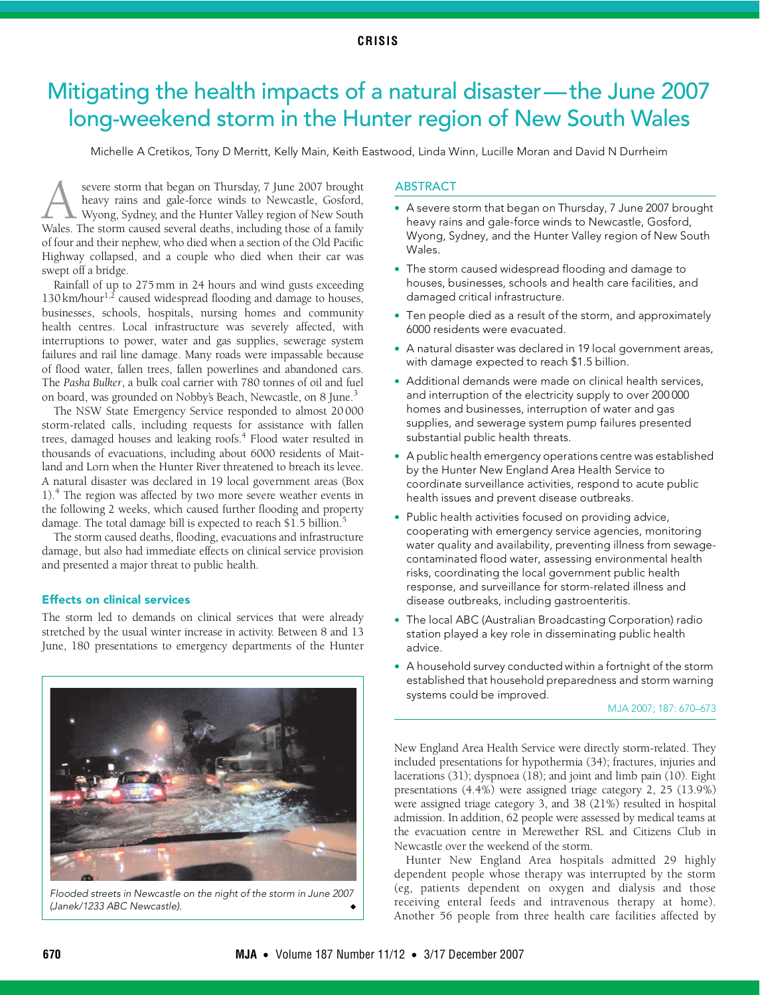# <span id="page-0-0"></span>Mitigating the health impacts of a natural disaster—the June 2007 long-weekend storm in the Hunter region of New South Wales

Michelle A Cretikos, Tony D Merritt, Kelly Main, Keith Eastwood, Linda Winn, Lucille Moran and David N Durrheim

severe storm that began on Thursday, 7 June 2007 brought heavy rains and gale-force winds to Newcastle, Gosford, Wyong, Sydney, and the Hunter Valley region of New South Severe storm that began on Thursday, 7 June 2007 brought<br>heavy rains and gale-force winds to Newcastle, Gosford,<br>Wyong, Sydney, and the Hunter Valley region of New South<br>Wales. The storm caused several deaths, including th of four and their nephew, who died when a section of the Old Pacific Highway collapsed, and a couple who died when their car was swept off a bridge.

Examination up to  $275$  mm in  $24$  hours and wind gusts exceeding 130 km/hour<sup>1,2</sup> caused widespread floodi[ng an](#page-0-0)[d da](#page-3-0)mage to houses, 729X 3/17 December 2007 187 11/12 670-673 businesses, schools, hospitals, nursing homes and community health centres. Local infrastructure was severely affected, with interruptions to power, water and gas supplies, sewerage system Rainfall of up to 275 mm in 24 hours and wind gusts exceeding failures and rail line damage. Many roads were impassable because of flood water, fallen trees, fallen powerlines and abandoned cars. The *Pasha Bulker*, a bulk coal carrier with 780 tonnes of oil and fuel on board, was grounded on Nobby's Beach, Newcastle, on 8 June.<sup>3</sup>

The NSW State Emergency Service responded to almost 20 000 storm-related calls, including requests for assistance with fallen trees, damaged houses and leaking roofs.<sup>4</sup> Flood water resulted in thousands of evacuations, including about 6000 residents of Maitland and Lorn when the Hunter River threatened to breach its levee. A natural disaster was declared in 19 local government areas (Box 1).<sup>4</sup> The region was affected by two more severe weather events in the following 2 weeks, which caused further flooding and property damage. The total damage bill is expected to reach \$1.5 billion.<sup>5</sup>

The storm caused deaths, flooding, evacuations and infrastructure damage, but also had immediate effects on clinical service provision and presented a major threat to public health.

# Effects on clinical services

The storm led to demands on clinical services that were already stretched by the usual winter increase in activity. Between 8 and 13 June, 180 presentations to emergency departments of the Hunter



Flooded streets in Newcastle on the night of the storm in June 2007 (Janek/1233 ABC Newcastle).

### **ABSTRACT**

- A severe storm that began on Thursday, 7 June 2007 brought heavy rains and gale-force winds to Newcastle, Gosford, Wyong, Sydney, and the Hunter Valley region of New South Wales.
- The storm caused widespread flooding and damage to houses, businesses, schools and health care facilities, and damaged critical infrastructure.
- Ten people died as a result of the storm, and approximately 6000 residents were evacuated.
- A natural disaster was declared in 19 local government areas, with damage expected to reach \$1.5 billion.
- Additional demands were made on clinical health services, and interruption of the electricity supply to over 200 000 homes and businesses, interruption of water and gas supplies, and sewerage system pump failures presented substantial public health threats.
- A public health emergency operations centre was established by the Hunter New England Area Health Service to coordinate surveillance activities, respond to acute public health issues and prevent disease outbreaks.
- Public health activities focused on providing advice, cooperating with emergency service agencies, monitoring water quality and availability, preventing illness from sewagecontaminated flood water, assessing environmental health risks, coordinating the local government public health response, and surveillance for storm-related illness and disease outbreaks, including gastroenteritis.
- The local ABC (Australian Broadcasting Corporation) radio station played a key role in disseminating public health advice.
- A household survey conducted within a fortnight of the storm established that household preparedness and storm warning systems could be improved.

MJA 2007; 187: 670–673

New England Area Health Service were directly storm-related. They included presentations for hypothermia (34); fractures, injuries and lacerations (31); dyspnoea (18); and joint and limb pain (10). Eight presentations (4.4%) were assigned triage category 2, 25 (13.9%) were assigned triage category 3, and 38 (21%) resulted in hospital admission. In addition, 62 people were assessed by medical teams at the evacuation centre in Merewether RSL and Citizens Club in Newcastle over the weekend of the storm.

Hunter New England Area hospitals admitted 29 highly dependent people whose therapy was interrupted by the storm (eg, patients dependent on oxygen and dialysis and those receiving enteral feeds and intravenous therapy at home). Another 56 people from three health care facilities affected by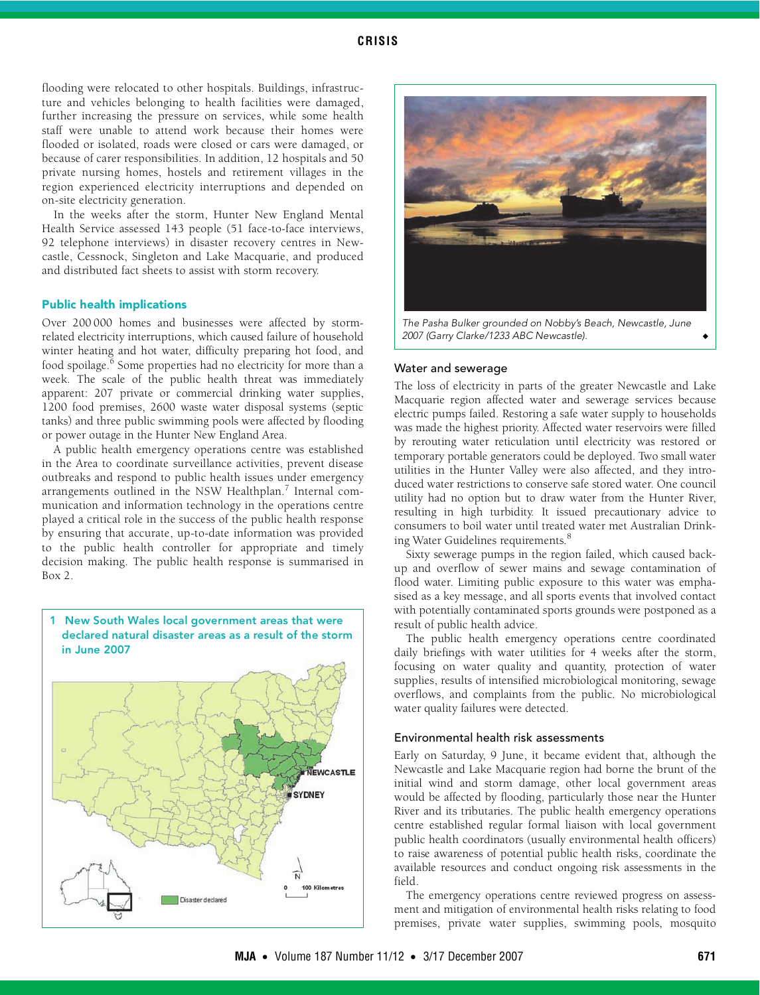flooding were relocated to other hospitals. Buildings, infrastructure and vehicles belonging to health facilities were damaged, further increasing the pressure on services, while some health staff were unable to attend work because their homes were flooded or isolated, roads were closed or cars were damaged, or because of carer responsibilities. In addition, 12 hospitals and 50 private nursing homes, hostels and retirement villages in the region experienced electricity interruptions and depended on on-site electricity generation.

In the weeks after the storm, Hunter New England Mental Health Service assessed 143 people (51 face-to-face interviews, 92 telephone interviews) in disaster recovery centres in Newcastle, Cessnock, Singleton and Lake Macquarie, and produced and distributed fact sheets to assist with storm recovery.

#### Public health implications

Over 200 000 homes and businesses were affected by stormrelated electricity interruptions, which caused failure of household winter heating and hot water, difficulty preparing hot food, and food spoilage.<sup>6</sup> Some properties had no electricity for more than a week. The scale of the public health threat was immediately apparent: 207 private or commercial drinking water supplies, 1200 food premises, 2600 waste water disposal systems (septic tanks) and three public swimming pools were affected by flooding or power outage in the Hunter New England Area.

A public health emergency operations centre was established in the Area to coordinate surveillance activities, prevent disease outbreaks and respond to public health issues under emergency arrangements outlined in the NSW Healthplan.<sup>7</sup> Internal communication and information technology in the operations centre played a critical role in the success of the public health response by ensuring that accurate, up-to-date information was provided to the public health controller for appropriate and timely decision making. The public health response is summarised in Box 2.

1 New South Wales local government areas that were





The Pasha Bulker grounded on Nobby's Beach, Newcastle, June 2007 (Garry Clarke/1233 ABC Newcastle).

#### Water and sewerage

The loss of electricity in parts of the greater Newcastle and Lake Macquarie region affected water and sewerage services because electric pumps failed. Restoring a safe water supply to households was made the highest priority. Affected water reservoirs were filled by rerouting water reticulation until electricity was restored or temporary portable generators could be deployed. Two small water utilities in the Hunter Valley were also affected, and they introduced water restrictions to conserve safe stored water. One council utility had no option but to draw water from the Hunter River, resulting in high turbidity. It issued precautionary advice to consumers to boil water until treated water met Australian Drinking Water Guidelines requirements.<sup>8</sup>

Sixty sewerage pumps in the region failed, which caused backup and overflow of sewer mains and sewage contamination of flood water. Limiting public exposure to this water was emphasised as a key message, and all sports events that involved contact with potentially contaminated sports grounds were postponed as a result of public health advice.

The public health emergency operations centre coordinated daily briefings with water utilities for 4 weeks after the storm, focusing on water quality and quantity, protection of water supplies, results of intensified microbiological monitoring, sewage overflows, and complaints from the public. No microbiological water quality failures were detected.

#### Environmental health risk assessments

Early on Saturday, 9 June, it became evident that, although the Newcastle and Lake Macquarie region had borne the brunt of the initial wind and storm damage, other local government areas would be affected by flooding, particularly those near the Hunter River and its tributaries. The public health emergency operations centre established regular formal liaison with local government public health coordinators (usually environmental health officers) to raise awareness of potential public health risks, coordinate the available resources and conduct ongoing risk assessments in the field.

The emergency operations centre reviewed progress on assessment and mitigation of environmental health risks relating to food premises, private water supplies, swimming pools, mosquito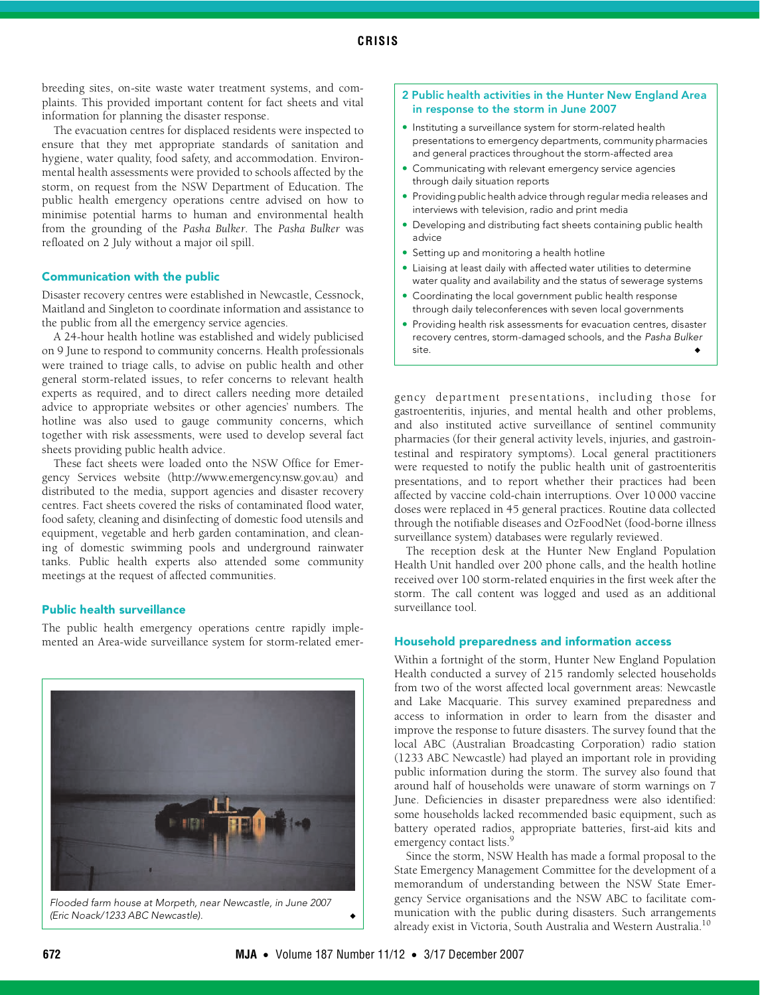breeding sites, on-site waste water treatment systems, and complaints. This provided important content for fact sheets and vital information for planning the disaster response.

The evacuation centres for displaced residents were inspected to ensure that they met appropriate standards of sanitation and hygiene, water quality, food safety, and accommodation. Environmental health assessments were provided to schools affected by the storm, on request from the NSW Department of Education. The public health emergency operations centre advised on how to minimise potential harms to human and environmental health from the grounding of the *Pasha Bulker*. The *Pasha Bulker* was refloated on 2 July without a major oil spill.

#### Communication with the public

Disaster recovery centres were established in Newcastle, Cessnock, Maitland and Singleton to coordinate information and assistance to the public from all the emergency service agencies.

A 24-hour health hotline was established and widely publicised on 9 June to respond to community concerns. Health professionals were trained to triage calls, to advise on public health and other general storm-related issues, to refer concerns to relevant health experts as required, and to direct callers needing more detailed advice to appropriate websites or other agencies' numbers. The hotline was also used to gauge community concerns, which together with risk assessments, were used to develop several fact sheets providing public health advice.

These fact sheets were loaded onto the NSW Office for Emergency Services website (http://www.emergency.nsw.gov.au) and distributed to the media, support agencies and disaster recovery centres. Fact sheets covered the risks of contaminated flood water, food safety, cleaning and disinfecting of domestic food utensils and equipment, vegetable and herb garden contamination, and cleaning of domestic swimming pools and underground rainwater tanks. Public health experts also attended some community meetings at the request of affected communities.

#### Public health surveillance

The public health emergency operations centre rapidly implemented an Area-wide surveillance system for storm-related emer-



Flooded farm house at Morpeth, near Newcastle, in June 2007 (Eric Noack/1233 ABC Newcastle).

#### 2 Public health activities in the Hunter New England Area in response to the storm in June 2007

- Instituting a surveillance system for storm-related health presentations to emergency departments, community pharmacies and general practices throughout the storm-affected area
- Communicating with relevant emergency service agencies through daily situation reports
- Providing public health advice through regular media releases and interviews with television, radio and print media
- Developing and distributing fact sheets containing public health advice
- Setting up and monitoring a health hotline
- Liaising at least daily with affected water utilities to determine water quality and availability and the status of sewerage systems
- Coordinating the local government public health response through daily teleconferences with seven local governments
- Providing health risk assessments for evacuation centres, disaster recovery centres, storm-damaged schools, and the Pasha Bulker  $\mathsf{site.}\qquad \qquad \blacklozenge$

gency department presentations, including those for gastroenteritis, injuries, and mental health and other problems, and also instituted active surveillance of sentinel community pharmacies (for their general activity levels, injuries, and gastrointestinal and respiratory symptoms). Local general practitioners were requested to notify the public health unit of gastroenteritis presentations, and to report whether their practices had been affected by vaccine cold-chain interruptions. Over 10 000 vaccine doses were replaced in 45 general practices. Routine data collected through the notifiable diseases and OzFoodNet (food-borne illness surveillance system) databases were regularly reviewed.

The reception desk at the Hunter New England Population Health Unit handled over 200 phone calls, and the health hotline received over 100 storm-related enquiries in the first week after the storm. The call content was logged and used as an additional surveillance tool.

#### Household preparedness and information access

Within a fortnight of the storm, Hunter New England Population Health conducted a survey of 215 randomly selected households from two of the worst affected local government areas: Newcastle and Lake Macquarie. This survey examined preparedness and access to information in order to learn from the disaster and improve the response to future disasters. The survey found that the local ABC (Australian Broadcasting Corporation) radio station (1233 ABC Newcastle) had played an important role in providing public information during the storm. The survey also found that around half of households were unaware of storm warnings on 7 June. Deficiencies in disaster preparedness were also identified: some households lacked recommended basic equipment, such as battery operated radios, appropriate batteries, first-aid kits and emergency contact lists.9

Since the storm, NSW Health has made a formal proposal to the State Emergency Management Committee for the development of a memorandum of understanding between the NSW State Emergency Service organisations and the NSW ABC to facilitate communication with the public during disasters. Such arrangements already exist in Victoria, South Australia and Western Australia.10